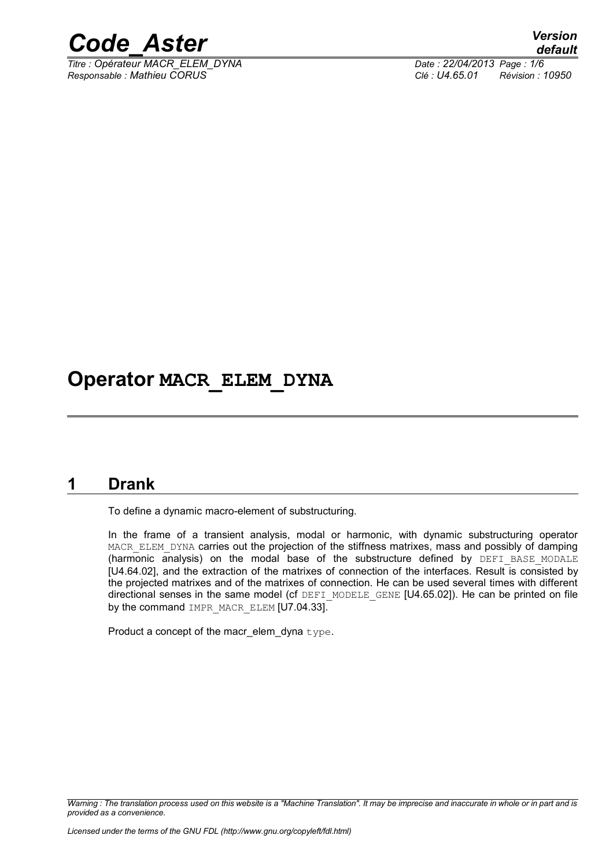

*Titre : Opérateur MACR\_ELEM\_DYNA Date : 22/04/2013 Page : 1/6 Responsable : Mathieu CORUS Clé : U4.65.01 Révision : 10950*

### **Operator MACR\_ELEM\_DYNA**

#### **1 Drank**

<span id="page-0-0"></span>To define a dynamic macro-element of substructuring.

In the frame of a transient analysis, modal or harmonic, with dynamic substructuring operator MACR\_ELEM\_DYNA carries out the projection of the stiffness matrixes, mass and possibly of damping (harmonic analysis) on the modal base of the substructure defined by DEFI BASE MODALE [U4.64.02], and the extraction of the matrixes of connection of the interfaces. Result is consisted by the projected matrixes and of the matrixes of connection. He can be used several times with different directional senses in the same model (cf DEFI\_MODELE\_GENE [U4.65.02]). He can be printed on file by the command IMPR\_MACR\_ELEM [U7.04.33].

Product a concept of the macr\_elem\_dyna type.

*Warning : The translation process used on this website is a "Machine Translation". It may be imprecise and inaccurate in whole or in part and is provided as a convenience.*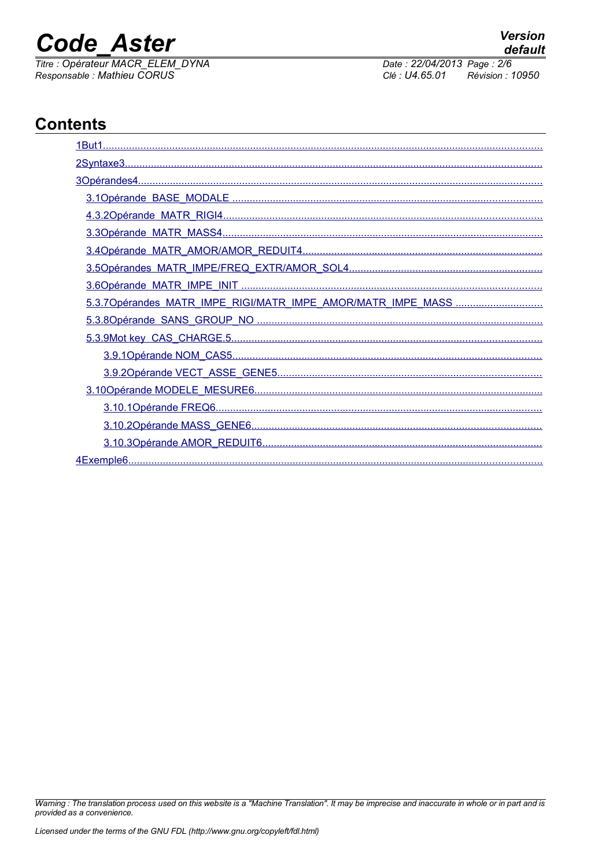# **Code Aster**

Titre : Opérateur MACR\_ELEM\_DYNA<br>Responsable : Mathieu CORUS

default Date: 22/04/2013 Page: 2/6 Clé : U4.65.01 Révision : 10950

**Version** 

### **Contents**

| 5.3.7Opérandes MATR_IMPE_RIGI/MATR_IMPE_AMOR/MATR_IMPE_MASS |
|-------------------------------------------------------------|
|                                                             |
|                                                             |
|                                                             |
|                                                             |
|                                                             |
|                                                             |
|                                                             |
|                                                             |
|                                                             |

Warning : The translation process used on this website is a "Machine Translation". It may be imprecise and inaccurate in whole or in part and is provided as a convenience.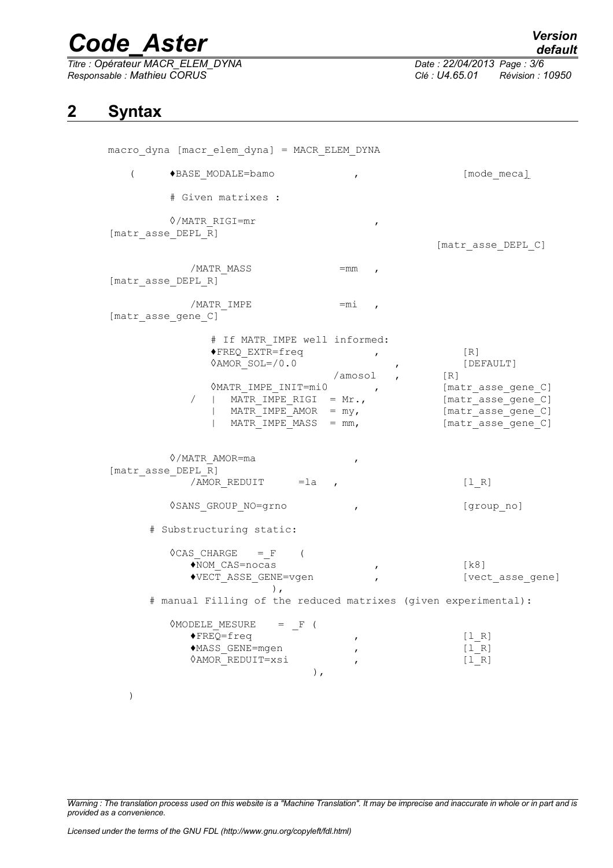*Titre : Opérateur MACR\_ELEM\_DYNA Date : 22/04/2013 Page : 3/6 Responsable : Mathieu CORUS Clé : U4.65.01 Révision : 10950*

*default*

#### **2 Syntax**

<span id="page-2-0"></span>

| macro_dyna [macr_elem_dyna] = MACR_ELEM_DYNA                                                                                                                                                                                    |                                                             |                                                                                                                   |  |
|---------------------------------------------------------------------------------------------------------------------------------------------------------------------------------------------------------------------------------|-------------------------------------------------------------|-------------------------------------------------------------------------------------------------------------------|--|
| $\left($<br>◆BASE MODALE=bamo                                                                                                                                                                                                   | $\boldsymbol{r}$                                            | [mode meca]                                                                                                       |  |
| # Given matrixes :                                                                                                                                                                                                              |                                                             |                                                                                                                   |  |
| $\Diamond$ /MATR RIGI=mr<br>[matr asse DEPL R]                                                                                                                                                                                  | $\pmb{r}$                                                   | [matr asse DEPL C]                                                                                                |  |
| /MATR_MASS<br>[matr_asse_DEPL_R]                                                                                                                                                                                                | $=$ mm,                                                     |                                                                                                                   |  |
| /MATR IMPE<br>[matr asse gene C]                                                                                                                                                                                                | $=$ mi,                                                     |                                                                                                                   |  |
| # If MATR IMPE well informed:<br>◆FREQ EXTR=freq<br>$\Diamond AMOR$ SOL=/0.0<br>$\Diamond$ MATR IMPE_INIT=mi0 ,<br>  MATR IMPE RIGI = $Mr.$<br>$\sqrt{2}$<br>MATR IMPE AMOR $=$ my,<br>MATR IMPE MASS $=$ mm,<br>◊/MATR AMOR=ma | $\pmb{r}$<br>$\mathbf{r}$<br>$\lambda$ amosol,<br>$\pmb{r}$ | [R]<br>[DEFAULT]<br>$[R]$<br>[matr asse gene C]<br>[matr asse gene C]<br>[matr_asse_gene_C]<br>[matr_asse_gene_C] |  |
| [matr asse DEPL R]<br>/AMOR REDUIT $=$ la ,                                                                                                                                                                                     |                                                             | $[1_R]$                                                                                                           |  |
| 0SANS GROUP NO=grno                                                                                                                                                                                                             | $\mathbf{r}$                                                | [group_no]                                                                                                        |  |
| # Substructuring static:                                                                                                                                                                                                        |                                                             |                                                                                                                   |  |
| $\Diamond$ CAS CHARGE = F (<br>◆NOM CAS=nocas<br>◆VECT_ASSE_GENE=vgen<br># manual Filling of the reduced matrixes (given experimental):                                                                                         | $\mathbf{r}$                                                | [k8]<br>[vect asse gene]                                                                                          |  |
| $\Diamond$ MODELE MESURE = F (<br>$\blacklozenge$ FREQ=freq<br>◆MASS GENE=mgen<br><b><i><u>OAMOR REDUIT=xsi</u></i></b><br>$\,$ ,                                                                                               | ,                                                           | [1 R]<br>[1 R]<br>[1 R]                                                                                           |  |

)

*Warning : The translation process used on this website is a "Machine Translation". It may be imprecise and inaccurate in whole or in part and is provided as a convenience.*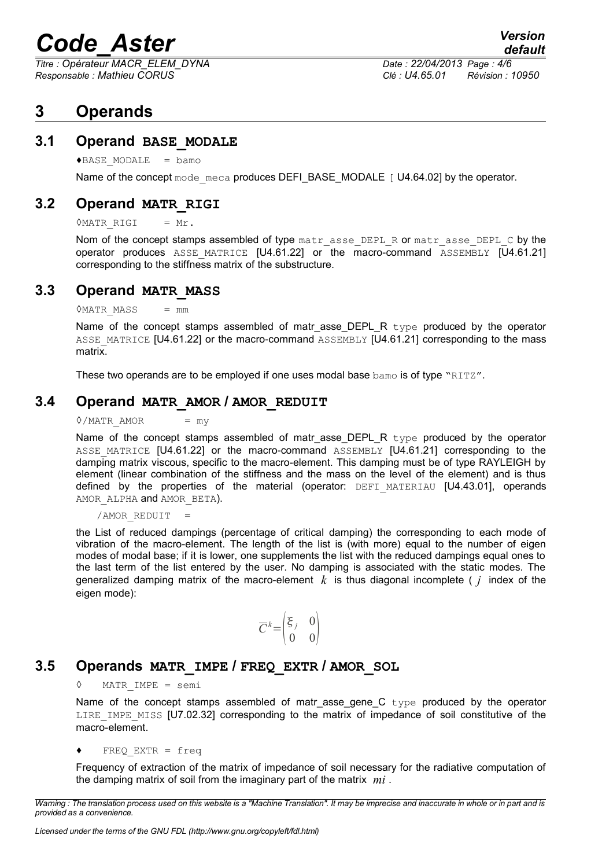*Titre : Opérateur MACR\_ELEM\_DYNA Date : 22/04/2013 Page : 4/6 Responsable : Mathieu CORUS Clé : U4.65.01 Révision : 10950*

#### <span id="page-3-5"></span>**3 Operands**

#### **3.1 Operand BASE\_MODALE**

<span id="page-3-4"></span> $\triangle$ BASE MODALE = bamo

Name of the concept mode meca produces DEFI\_BASE\_MODALE [ U4.64.02] by the operator.

#### **3.2 Operand MATR\_RIGI**

<span id="page-3-3"></span> $\Diamond$ MATR RIGI = Mr.

Nom of the concept stamps assembled of type  $\text{mat }r$  asse DEPL R or matr asse DEPL C by the operator produces ASSE MATRICE  $[U4.61.22]$  or the macro-command ASSEMBLY  $[U4.61.21]$ corresponding to the stiffness matrix of the substructure.

#### **3.3 Operand MATR\_MASS**

<span id="page-3-2"></span> $\Diamond$ MATR MASS = mm

Name of the concept stamps assembled of matr asse DEPL R type produced by the operator ASSE\_MATRICE [U4.61.22] or the macro-command ASSEMBLY [U4.61.21] corresponding to the mass matrix.

These two operands are to be employed if one uses modal base bamo is of type "RITZ".

#### **3.4 Operand MATR\_AMOR / AMOR\_REDUIT**

<span id="page-3-1"></span> $\Diamond$ /MATR AMOR = my

Name of the concept stamps assembled of matr\_asse\_DEPL\_R type produced by the operator ASSE MATRICE [U4.61.22] or the macro-command ASSEMBLY [U4.61.21] corresponding to the damping matrix viscous, specific to the macro-element. This damping must be of type RAYLEIGH by element (linear combination of the stiffness and the mass on the level of the element) and is thus defined by the properties of the material (operator:  $DEFI$  MATERIAU  $[U4.43.01]$ , operands AMOR ALPHA and AMOR BETA).

/AMOR\_REDUIT =

the List of reduced dampings (percentage of critical damping) the corresponding to each mode of vibration of the macro-element. The length of the list is (with more) equal to the number of eigen modes of modal base; if it is lower, one supplements the list with the reduced dampings equal ones to the last term of the list entered by the user. No damping is associated with the static modes. The generalized damping matrix of the macro-element  $k$  is thus diagonal incomplete ( $j$  index of the eigen mode):

$$
\overline{C}^k = \begin{pmatrix} \xi_j & 0 \\ 0 & 0 \end{pmatrix}
$$

#### **3.5 Operands MATR\_IMPE / FREQ\_EXTR / AMOR\_SOL**

<span id="page-3-0"></span> $MATR$  IMPE = semi

Name of the concept stamps assembled of matr asse gene  $C$  type produced by the operator LIRE IMPE MISS [U7.02.32] corresponding to the matrix of impedance of soil constitutive of the macro-element.

♦ FREQ\_EXTR = freq

Frequency of extraction of the matrix of impedance of soil necessary for the radiative computation of the damping matrix of soil from the imaginary part of the matrix *mi* .

*Warning : The translation process used on this website is a "Machine Translation". It may be imprecise and inaccurate in whole or in part and is provided as a convenience.*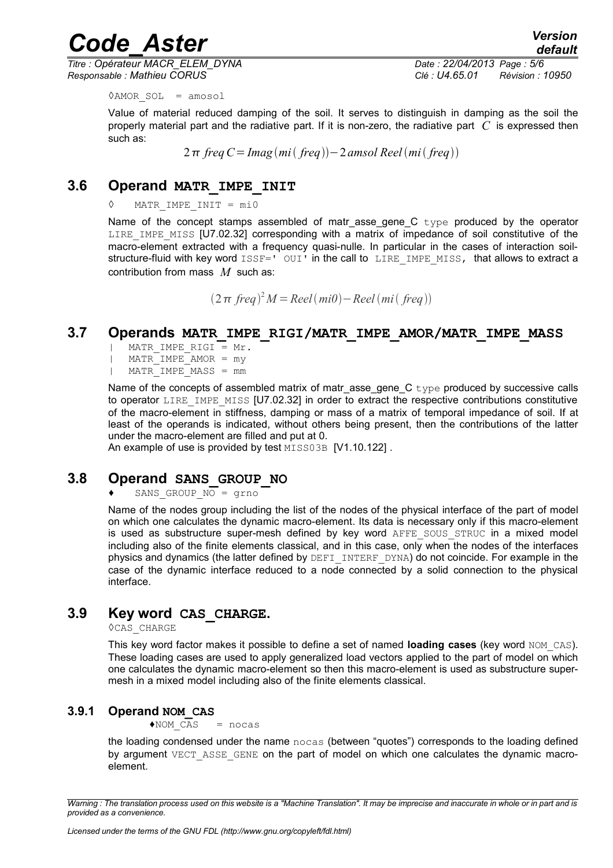*Titre : Opérateur MACR\_ELEM\_DYNA Date : 22/04/2013 Page : 5/6 Responsable : Mathieu CORUS Clé : U4.65.01 Révision : 10950*

*default*

◊AMOR\_SOL = amosol

Value of material reduced damping of the soil. It serves to distinguish in damping as the soil the properly material part and the radiative part. If it is non-zero, the radiative part *C* is expressed then such as:

2π freq  $C = \text{Imag}(mi(\text{freq})) - 2 \text{ amsol}$  Reel $(mi(\text{freq}))$ 

#### **3.6 Operand MATR\_IMPE\_INIT**

<span id="page-4-4"></span>◊ MATR\_IMPE\_INIT = mi0

Name of the concept stamps assembled of matr asse gene  $C$  type produced by the operator LIRE IMPE MISS [U7.02.32] corresponding with a matrix of impedance of soil constitutive of the macro-element extracted with a frequency quasi-nulle. In particular in the cases of interaction soilstructure-fluid with key word  $ISSF = I'OUT'$  in the call to LIRE IMPE MISS, that allows to extract a contribution from mass *M* such as:

2 *freq* <sup>2</sup>*M* =*Reelmi0*−*Reel mi freq*

#### **3.7 Operands MATR\_IMPE\_RIGI/MATR\_IMPE\_AMOR/MATR\_IMPE\_MASS**

- <span id="page-4-3"></span>MATR IMPE RIGI =  $Mr$ .
- | MATR\_IMPE\_AMOR = my
- | MATR\_IMPE\_MASS = mm

Name of the concepts of assembled matrix of matrasse gene  $C$  type produced by successive calls to operator LIRE\_IMPE\_MISS [U7.02.32] in order to extract the respective contributions constitutive of the macro-element in stiffness, damping or mass of a matrix of temporal impedance of soil. If at least of the operands is indicated, without others being present, then the contributions of the latter under the macro-element are filled and put at 0.

An example of use is provided by test MISS03B [V1.10.122].

#### **3.8 Operand SANS\_GROUP\_NO**

#### <span id="page-4-2"></span>SANS GROUP  $\overline{NO}$  = grno

Name of the nodes group including the list of the nodes of the physical interface of the part of model on which one calculates the dynamic macro-element. Its data is necessary only if this macro-element is used as substructure super-mesh defined by key word AFFE SOUS STRUC in a mixed model including also of the finite elements classical, and in this case, only when the nodes of the interfaces physics and dynamics (the latter defined by DEFI\_INTERF\_DYNA) do not coincide. For example in the case of the dynamic interface reduced to a node connected by a solid connection to the physical interface.

#### **3.9 Key word CAS\_CHARGE.**

<span id="page-4-1"></span>◊CAS\_CHARGE

This key word factor makes it possible to define a set of named **loading cases** (key word NOM\_CAS). These loading cases are used to apply generalized load vectors applied to the part of model on which one calculates the dynamic macro-element so then this macro-element is used as substructure supermesh in a mixed model including also of the finite elements classical.

#### **3.9.1 Operand NOM\_CAS**

 $\triangle$ NOM CAS = nocas

<span id="page-4-0"></span>the loading condensed under the name nocas (between "quotes") corresponds to the loading defined by argument VECT ASSE GENE on the part of model on which one calculates the dynamic macroelement.

*Warning : The translation process used on this website is a "Machine Translation". It may be imprecise and inaccurate in whole or in part and is provided as a convenience.*